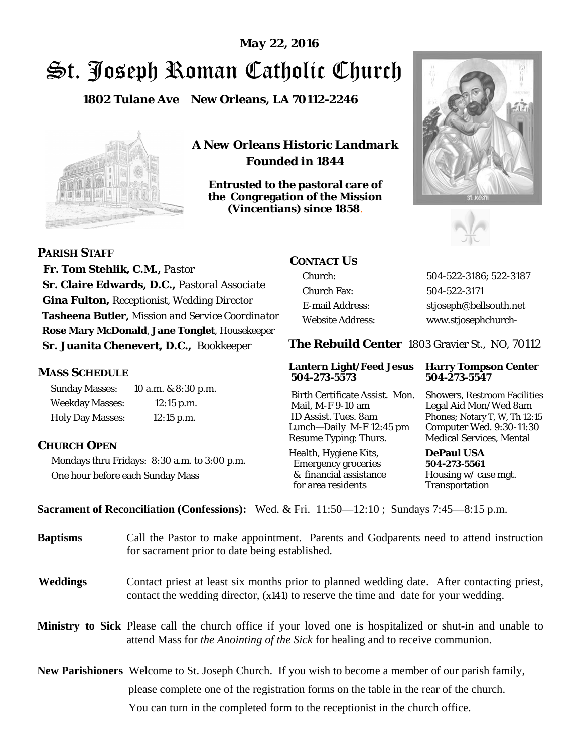# St. Joseph Roman Catholic Church *May 22, 2016*

**1802 Tulane Ave New Orleans, LA 70112-2246**



*A New Orleans Historic Landmark Founded in 1844* 

**Entrusted to the pastoral care of the Congregation of the Mission (Vincentians) since 1858**.





 **Fr. Tom Stehlik, C.M.,** *Pastor* 

**PARISH STAFF**

**Sr. Claire Edwards, D.C.,** *Pastoral Associate* **Gina Fulton,** *Receptionist, Wedding Director* **Tasheena Butler,** *Mission and Service Coordinator* **Rose Mary McDonald**, **Jane Tonglet**, *Housekeeper* **Sr. Juanita Chenevert, D.C.,** *Bookkeeper* 

### **MASS SCHEDULE**

Sunday Masses: 10 a.m. & 8:30 p.m. Weekday Masses: 12:15 p.m. Holy Day Masses: 12:15 p.m.

## **CHURCH OPEN**

Mondays thru Fridays: 8:30 a.m. to 3:00 p.m. One hour before each Sunday Mass

# **CONTACT US**

Church: 504-522-3186; 522-3187 Church Fax: 504-522-3171 E-mail Address: stjoseph@bellsouth.net Website Address: www.stjosephchurch-

**The Rebuild Center** 1803 Gravier St., NO, 70112

#### **Lantern Light/Feed Jesus Harry Tompson Center 504-273-5573 504-273-5547**

Birth Certificate Assist. Mon. Showers, Restroom Facilities Mail, M-F 9-10 am Legal Aid Mon/Wed 8am ID Assist. Tues. 8am Phones; Notary T, W, Th 12:15 Lunch—Daily M-F 12:45 pm Computer Wed. 9:30-11:30 Resume Typing: Thurs. Medical Services, Mental

Health, Hygiene Kits, **DePaul USA**  Emergency groceries **504-273-5561** & financial assistance Housing w/ case mgt.

Transportation

**Sacrament of Reconciliation (Confessions):** Wed. & Fri. 11:50—12:10 ; Sundays 7:45—8:15 p.m.

| <b>Baptisms</b> | Call the Pastor to make appointment. Parents and Godparents need to attend instruction<br>for sacrament prior to date being established.                                                                   |  |
|-----------------|------------------------------------------------------------------------------------------------------------------------------------------------------------------------------------------------------------|--|
| Weddings        | Contact priest at least six months prior to planned wedding date. After contacting priest,<br>contact the wedding director, (x141) to reserve the time and date for your wedding.                          |  |
|                 | <b>Ministry to Sick</b> Please call the church office if your loved one is hospitalized or shut-in and unable to<br>attend Mass for <i>the Anointing of the Sick</i> for healing and to receive communion. |  |
|                 | New Parishioners Welcome to St. Joseph Church. If you wish to become a member of our parish family,                                                                                                        |  |
|                 | please complete one of the registration forms on the table in the rear of the church.                                                                                                                      |  |
|                 | You can turn in the completed form to the reception is the church office.                                                                                                                                  |  |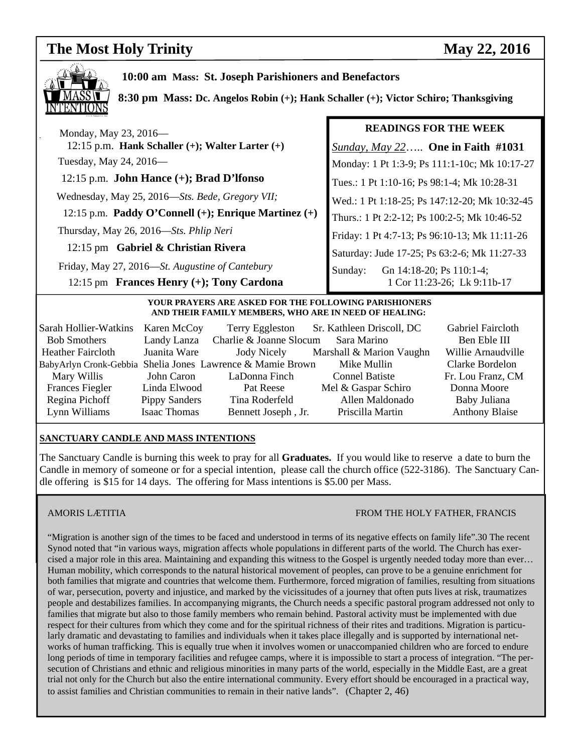# **The Most Holy Trinity** May 22, 2016



 **10:00 am Mass: St. Joseph Parishioners and Benefactors** 

 **8:30 pm Mass: Dc. Angelos Robin (+); Hank Schaller (+); Victor Schiro; Thanksgiving** 

| <b>READINGS FOR THE WEEK</b>                                       |
|--------------------------------------------------------------------|
| <i><u>Sunday, May 22</u></i> One in Faith #1031                    |
| Monday: 1 Pt 1:3-9; Ps 111:1-10c; Mk 10:17-27                      |
| Tues.: 1 Pt 1:10-16; Ps 98:1-4; Mk 10:28-31                        |
| Wed.: 1 Pt 1:18-25; Ps 147:12-20; Mk 10:32-45                      |
| Thurs.: 1 Pt 2:2-12; Ps 100:2-5; Mk 10:46-52                       |
| Friday: 1 Pt 4:7-13; Ps 96:10-13; Mk 11:11-26                      |
| Saturday: Jude 17-25; Ps 63:2-6; Mk 11:27-33                       |
| Gn 14:18-20; Ps 110:1-4;<br>Sunday:<br>1 Cor 11:23-26; Lk 9:11b-17 |
|                                                                    |

#### **YOUR PRAYERS ARE ASKED FOR THE FOLLOWING PARISHIONERS AND THEIR FAMILY MEMBERS, WHO ARE IN NEED OF HEALING:**

| Sarah Hollier-Watkins                                      | Karen McCoy          | Terry Eggleston         | Sr. Kathleen Driscoll, DC | Gabriel Faircloth     |
|------------------------------------------------------------|----------------------|-------------------------|---------------------------|-----------------------|
| <b>Bob Smothers</b>                                        | Landy Lanza          | Charlie & Joanne Slocum | Sara Marino               | Ben Eble III          |
| <b>Heather Faircloth</b>                                   | Juanita Ware         | Jody Nicely             | Marshall & Marion Vaughn  | Willie Arnaudville    |
| BabyArlyn Cronk-Gebbia Shelia Jones Lawrence & Mamie Brown |                      |                         | Mike Mullin               | Clarke Bordelon       |
| Mary Willis                                                | John Caron           | LaDonna Finch           | <b>Connel Batiste</b>     | Fr. Lou Franz, CM     |
| <b>Frances Fiegler</b>                                     | Linda Elwood         | Pat Reese               | Mel & Gaspar Schiro       | Donna Moore           |
| Regina Pichoff                                             | <b>Pippy Sanders</b> | Tina Roderfeld          | Allen Maldonado           | Baby Juliana          |
| Lynn Williams                                              | Isaac Thomas         | Bennett Joseph, Jr.     | Priscilla Martin          | <b>Anthony Blaise</b> |

#### **SANCTUARY CANDLE AND MASS INTENTIONS**

The Sanctuary Candle is burning this week to pray for all **Graduates.** If you would like to reserve a date to burn the Candle in memory of someone or for a special intention, please call the church office (522-3186). The Sanctuary Candle offering is \$15 for 14 days. The offering for Mass intentions is \$5.00 per Mass.

#### AMORIS LÆTITIA FROM THE HOLY FATHER, FRANCIS

"Migration is another sign of the times to be faced and understood in terms of its negative effects on family life".30 The recent Synod noted that "in various ways, migration affects whole populations in different parts of the world. The Church has exercised a major role in this area. Maintaining and expanding this witness to the Gospel is urgently needed today more than ever… Human mobility, which corresponds to the natural historical movement of peoples, can prove to be a genuine enrichment for both families that migrate and countries that welcome them. Furthermore, forced migration of families, resulting from situations of war, persecution, poverty and injustice, and marked by the vicissitudes of a journey that often puts lives at risk, traumatizes people and destabilizes families. In accompanying migrants, the Church needs a specific pastoral program addressed not only to families that migrate but also to those family members who remain behind. Pastoral activity must be implemented with due respect for their cultures from which they come and for the spiritual richness of their rites and traditions. Migration is particularly dramatic and devastating to families and individuals when it takes place illegally and is supported by international networks of human trafficking. This is equally true when it involves women or unaccompanied children who are forced to endure long periods of time in temporary facilities and refugee camps, where it is impossible to start a process of integration. "The persecution of Christians and ethnic and religious minorities in many parts of the world, especially in the Middle East, are a great trial not only for the Church but also the entire international community. Every effort should be encouraged in a practical way, to assist families and Christian communities to remain in their native lands". (Chapter 2, 46)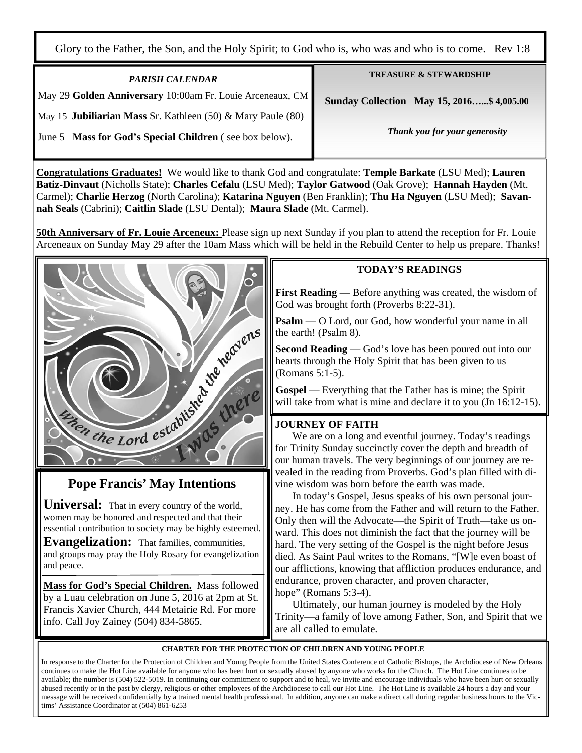Glory to the Father, the Son, and the Holy Spirit; to God who is, who was and who is to come. Rev 1:8

| <b>PARISH CALENDAR</b>                                                 | <b>TREASURE &amp; STEWARDSHIP</b>        |
|------------------------------------------------------------------------|------------------------------------------|
| May 29 Golden Anniversary 10:00am Fr. Louie Arceneaux, CM              | Sunday Collection May 15, 2016\$4,005.00 |
| May 15 <b>Jubiliarian Mass Sr. Kathleen (50) &amp; Mary Paule (80)</b> |                                          |
| June 5 Mass for God's Special Children (see box below).                | Thank you for your generosity            |
|                                                                        |                                          |

**Congratulations Graduates!** We would like to thank God and congratulate: **Temple Barkate** (LSU Med); **Lauren Batiz-Dinvaut** (Nicholls State); **Charles Cefalu** (LSU Med); **Taylor Gatwood** (Oak Grove); **Hannah Hayden** (Mt. Carmel); **Charlie Herzog** (North Carolina); **Katarina Nguyen** (Ben Franklin); **Thu Ha Nguyen** (LSU Med); **Savannah Seals** (Cabrini); **Caitlin Slade** (LSU Dental); **Maura Slade** (Mt. Carmel).

**50th Anniversary of Fr. Louie Arceneux:** Please sign up next Sunday if you plan to attend the reception for Fr. Louie Arceneaux on Sunday May 29 after the 10am Mass which will be held in the Rebuild Center to help us prepare. Thanks!



**Universal:** That in every country of the world, women may be honored and respected and that their essential contribution to society may be highly esteemed.

**Evangelization:** That families, communities, and groups may pray the Holy Rosary for evangelization and peace.

**Mass for God's Special Children.** Mass followed by a Luau celebration on June 5, 2016 at 2pm at St. Francis Xavier Church, 444 Metairie Rd. For more info. Call Joy Zainey (504) 834-5865.

### **TODAY'S READINGS**

**First Reading** — Before anything was created, the wisdom of God was brought forth (Proverbs 8:22-31).

**Psalm** — O Lord, our God, how wonderful your name in all the earth! (Psalm 8).

**Second Reading** — God's love has been poured out into our hearts through the Holy Spirit that has been given to us (Romans 5:1-5).

**Gospel** — Everything that the Father has is mine; the Spirit will take from what is mine and declare it to you (Jn 16:12-15).

### **JOURNEY OF FAITH**

 We are on a long and eventful journey. Today's readings for Trinity Sunday succinctly cover the depth and breadth of our human travels. The very beginnings of our journey are revealed in the reading from Proverbs. God's plan filled with divine wisdom was born before the earth was made.

 In today's Gospel, Jesus speaks of his own personal journey. He has come from the Father and will return to the Father. Only then will the Advocate—the Spirit of Truth—take us onward. This does not diminish the fact that the journey will be hard. The very setting of the Gospel is the night before Jesus died. As Saint Paul writes to the Romans, "[W]e even boast of our afflictions, knowing that affliction produces endurance, and endurance, proven character, and proven character, hope" (Romans 5:3-4).

 Ultimately, our human journey is modeled by the Holy Trinity—a family of love among Father, Son, and Spirit that we are all called to emulate.

#### **CHARTER FOR THE PROTECTION OF CHILDREN AND YOUNG PEOPLE**

In response to the Charter for the Protection of Children and Young People from the United States Conference of Catholic Bishops, the Archdiocese of New Orleans continues to make the Hot Line available for anyone who has been hurt or sexually abused by anyone who works for the Church. The Hot Line continues to be available; the number is (504) 522-5019. In continuing our commitment to support and to heal, we invite and encourage individuals who have been hurt or sexually abused recently or in the past by clergy, religious or other employees of the Archdiocese to call our Hot Line. The Hot Line is available 24 hours a day and your message will be received confidentially by a trained mental health professional. In addition, anyone can make a direct call during regular business hours to the Victims' Assistance Coordinator at (504) 861-6253